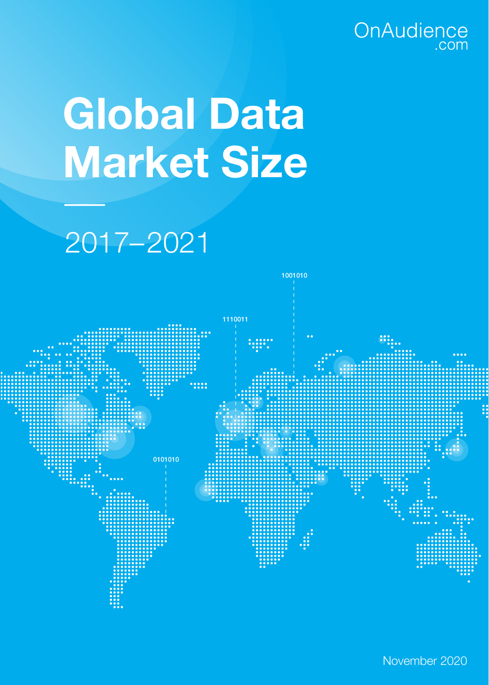# OnAudience

# **Global Data Market Size**

## 2017–2021

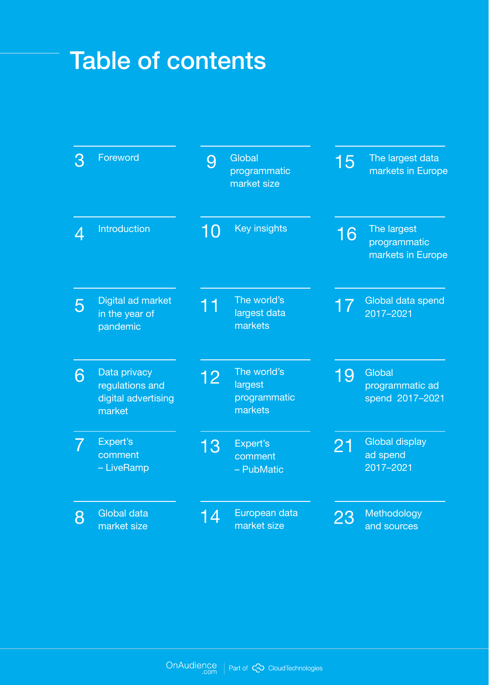## Table of contents

| З | Foreword                                                         | 9  | Global<br>programmatic<br>market size             | 15 | The largest data<br>markets in Europe            |
|---|------------------------------------------------------------------|----|---------------------------------------------------|----|--------------------------------------------------|
| 4 | Introduction                                                     | 10 | <b>Key insights</b>                               | 16 | The largest<br>programmatic<br>markets in Europe |
| 5 | Digital ad market<br>in the year of<br>pandemic                  | 11 | The world's<br>largest data<br>markets            |    | Global data spend<br>2017-2021                   |
| 6 | Data privacy<br>regulations and<br>digital advertising<br>market | 12 | The world's<br>largest<br>programmatic<br>markets | 19 | Global<br>programmatic ad<br>spend 2017-2021     |
|   | Expert's<br>comment<br>- LiveRamp                                | 13 | Expert's<br>comment<br>- PubMatic                 | 21 | <b>Global display</b><br>ad spend<br>2017-2021   |
| 8 | Global data<br>market size                                       | 14 | European data<br>market size                      | 23 | Methodology<br>and sources                       |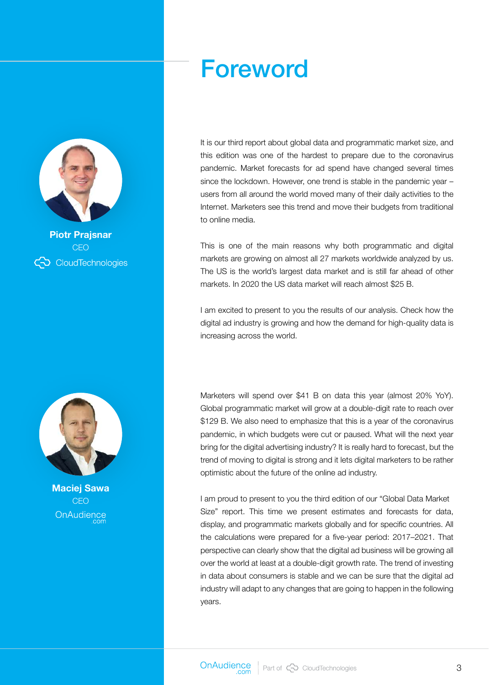## Foreword



**Piotr Prajsnar CEO** CO CloudTechnologies



**Maciej Sawa CEO** OnAudience

It is our third report about global data and programmatic market size, and this edition was one of the hardest to prepare due to the coronavirus pandemic. Market forecasts for ad spend have changed several times since the lockdown. However, one trend is stable in the pandemic year – users from all around the world moved many of their daily activities to the Internet. Marketers see this trend and move their budgets from traditional to online media.

This is one of the main reasons why both programmatic and digital markets are growing on almost all 27 markets worldwide analyzed by us. The US is the world's largest data market and is still far ahead of other markets. In 2020 the US data market will reach almost \$25 B.

I am excited to present to you the results of our analysis. Check how the digital ad industry is growing and how the demand for high-quality data is increasing across the world.

Marketers will spend over \$41 B on data this year (almost 20% YoY). Global programmatic market will grow at a double-digit rate to reach over \$129 B. We also need to emphasize that this is a year of the coronavirus pandemic, in which budgets were cut or paused. What will the next year bring for the digital advertising industry? It is really hard to forecast, but the trend of moving to digital is strong and it lets digital marketers to be rather optimistic about the future of the online ad industry.

I am proud to present to you the third edition of our "Global Data Market Size" report. This time we present estimates and forecasts for data, display, and programmatic markets globally and for specific countries. All the calculations were prepared for a five-year period: 2017–2021. That perspective can clearly show that the digital ad business will be growing all over the world at least at a double-digit growth rate. The trend of investing in data about consumers is stable and we can be sure that the digital ad industry will adapt to any changes that are going to happen in the following years.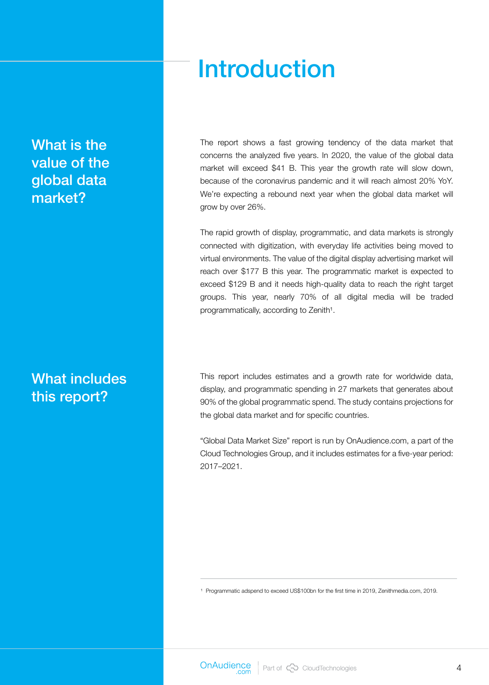### What is the value of the global data market?

### What includes this report?

## Introduction

The report shows a fast growing tendency of the data market that concerns the analyzed five years. In 2020, the value of the global data market will exceed \$41 B. This year the growth rate will slow down, because of the coronavirus pandemic and it will reach almost 20% YoY. We're expecting a rebound next year when the global data market will grow by over 26%.

The rapid growth of display, programmatic, and data markets is strongly connected with digitization, with everyday life activities being moved to virtual environments. The value of the digital display advertising market will reach over \$177 B this year. The programmatic market is expected to exceed \$129 B and it needs high-quality data to reach the right target groups. This year, nearly 70% of all digital media will be traded programmatically, according to Zenith<sup>1</sup>.

This report includes estimates and a growth rate for worldwide data, display, and programmatic spending in 27 markets that generates about 90% of the global programmatic spend. The study contains projections for the global data market and for specific countries.

"Global Data Market Size" report is run by OnAudience.com, a part of the Cloud Technologies Group, and it includes estimates for a five-year period: 2017–2021.

<sup>1</sup> Programmatic adspend to exceed US\$100bn for the first time in 2019, Zenithmedia.com, 2019.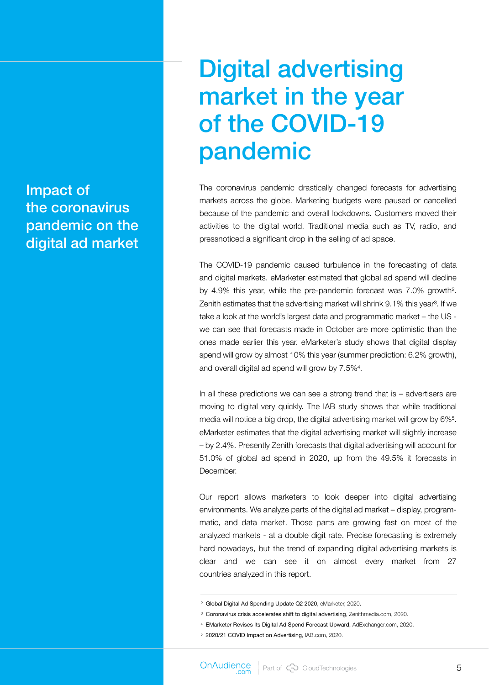Impact of the coronavirus pandemic on the digital ad market

## Digital advertising market in the year of the COVID-19 pandemic

The coronavirus pandemic drastically changed forecasts for advertising markets across the globe. Marketing budgets were paused or cancelled because of the pandemic and overall lockdowns. Customers moved their activities to the digital world. Traditional media such as TV, radio, and pressnoticed a significant drop in the selling of ad space.

The COVID-19 pandemic caused turbulence in the forecasting of data and digital markets. eMarketer estimated that global ad spend will decline by 4.9% this year, while the pre-pandemic forecast was 7.0% growth². Zenith estimates that the advertising market will shrink 9.1% this year<sup>3</sup>. If we take a look at the world's largest data and programmatic market – the US we can see that forecasts made in October are more optimistic than the ones made earlier this year. eMarketer's study shows that digital display spend will grow by almost 10% this year (summer prediction: 6.2% growth), and overall digital ad spend will grow by 7.5%<sup>4</sup>.

In all these predictions we can see a strong trend that is  $-$  advertisers are moving to digital very quickly. The IAB study shows that while traditional media will notice a big drop, the digital advertising market will grow by 6%<sup>5</sup>. eMarketer estimates that the digital advertising market will slightly increase – by 2.4%. Presently Zenith forecasts that digital advertising will account for 51.0% of global ad spend in 2020, up from the 49.5% it forecasts in December.

Our report allows marketers to look deeper into digital advertising environments. We analyze parts of the digital ad market – display, programmatic, and data market. Those parts are growing fast on most of the analyzed markets - at a double digit rate. Precise forecasting is extremely hard nowadays, but the trend of expanding digital advertising markets is clear and we can see it on almost every market from 27 countries analyzed in this report.

² Global Digital Ad Spending Update Q2 2020, eMarketer, 2020.

³ Coronavirus crisis accelerates shift to digital advertising, Zenithmedia.com, 2020.

⁴ EMarketer Revises Its Digital Ad Spend Forecast Upward, AdExchanger.com, 2020.

⁵ 2020/21 COVID Impact on Advertising, IAB.com, 2020.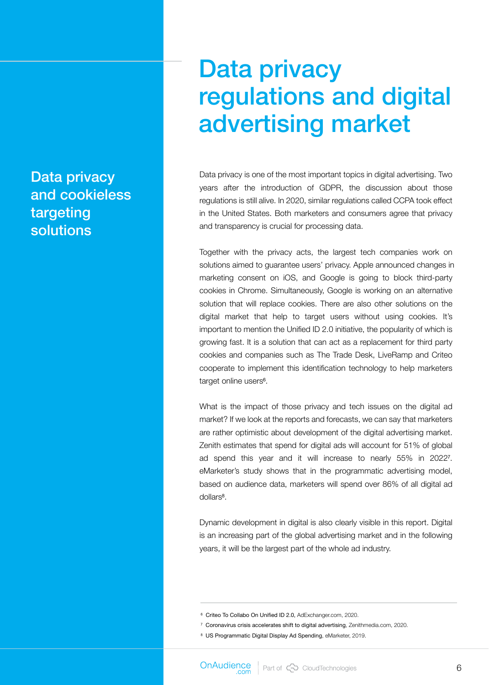### Data privacy and cookieless targeting solutions

## Data privacy regulations and digital advertising market

Data privacy is one of the most important topics in digital advertising. Two years after the introduction of GDPR, the discussion about those regulations is still alive. In 2020, similar regulations called CCPA took effect in the United States. Both marketers and consumers agree that privacy and transparency is crucial for processing data.

Together with the privacy acts, the largest tech companies work on solutions aimed to guarantee users' privacy. Apple announced changes in marketing consent on iOS, and Google is going to block third-party cookies in Chrome. Simultaneously, Google is working on an alternative solution that will replace cookies. There are also other solutions on the digital market that help to target users without using cookies. It's important to mention the Unified ID 2.0 initiative, the popularity of which is growing fast. It is a solution that can act as a replacement for third party cookies and companies such as The Trade Desk, LiveRamp and Criteo cooperate to implement this identification technology to help marketers target online users<sup>6</sup>.

What is the impact of those privacy and tech issues on the digital ad market? If we look at the reports and forecasts, we can say that marketers are rather optimistic about development of the digital advertising market. Zenith estimates that spend for digital ads will account for 51% of global ad spend this year and it will increase to nearly 55% in 2022<sup>7</sup>. eMarketer's study shows that in the programmatic advertising model, based on audience data, marketers will spend over 86% of all digital ad dollars<sup>8</sup>.

Dynamic development in digital is also clearly visible in this report. Digital is an increasing part of the global advertising market and in the following years, it will be the largest part of the whole ad industry.

⁶ Criteo To Collabo On Unified ID 2.0, AdExchanger.com, 2020.

⁷ Coronavirus crisis accelerates shift to digital advertising, Zenithmedia.com, 2020.

⁸ US Programmatic Digital Display Ad Spending, eMarketer, 2019.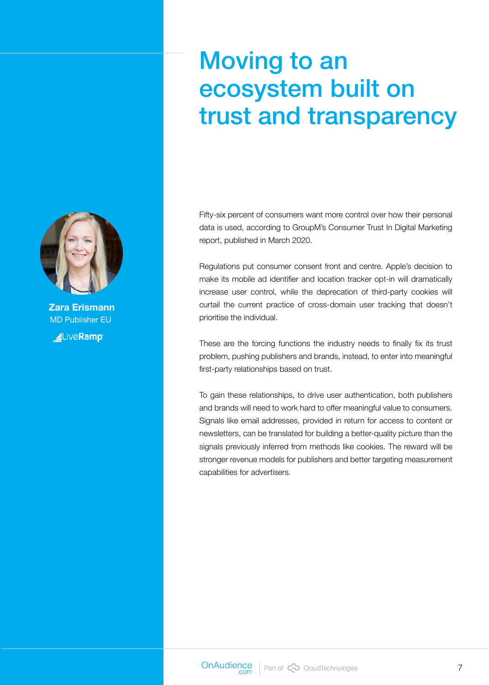## Moving to an ecosystem built on trust and transparency

Fifty-six percent of consumers want more control over how their personal data is used, according to GroupM's Consumer Trust In Digital Marketing report, published in March 2020.

Regulations put consumer consent front and centre. Apple's decision to make its mobile ad identifier and location tracker opt-in will dramatically increase user control, while the deprecation of third-party cookies will curtail the current practice of cross-domain user tracking that doesn't prioritise the individual.

These are the forcing functions the industry needs to finally fix its trust problem, pushing publishers and brands, instead, to enter into meaningful first-party relationships based on trust.

To gain these relationships, to drive user authentication, both publishers and brands will need to work hard to offer meaningful value to consumers. Signals like email addresses, provided in return for access to content or newsletters, can be translated for building a better-quality picture than the signals previously inferred from methods like cookies. The reward will be stronger revenue models for publishers and better targeting measurement capabilities for advertisers.



**Zara Erismann** MD Publisher EU

**ALiveRamp**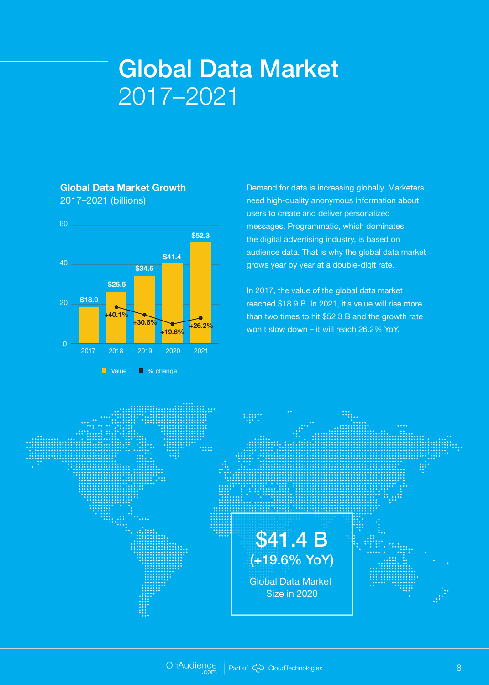## Global Data Market 2017–2021



#### **Global Data Market Growth** 2017–2021 (billions)

Demand for data is increasing globally. Marketers need high-quality anonymous information about users to create and deliver personalized messages. Programmatic, which dominates the digital advertising industry, is based on audience data. That is why the global data market grows year by year at a double-digit rate.

In 2017, the value of the global data market reached \$18.9 B. In 2021, it's value will rise more than two times to hit \$52.3 B and the growth rate won't slow down – it will reach 26.2% YoY.

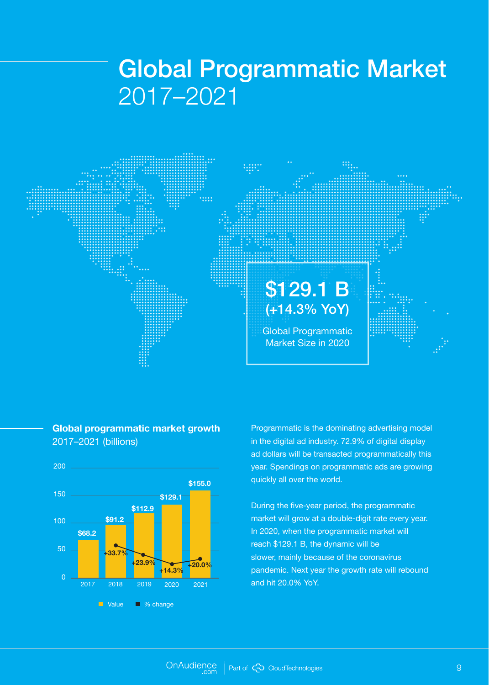## Global Programmatic Market 2017–2021



#### **Global programmatic market growth**  2017–2021 (billions)



Programmatic is the dominating advertising model in the digital ad industry. 72.9% of digital display ad dollars will be transacted programmatically this year. Spendings on programmatic ads are growing quickly all over the world.

During the five-year period, the programmatic market will grow at a double-digit rate every year. In 2020, when the programmatic market will reach \$129.1 B, the dynamic will be slower, mainly because of the coronavirus pandemic. Next year the growth rate will rebound and hit 20.0% YoY.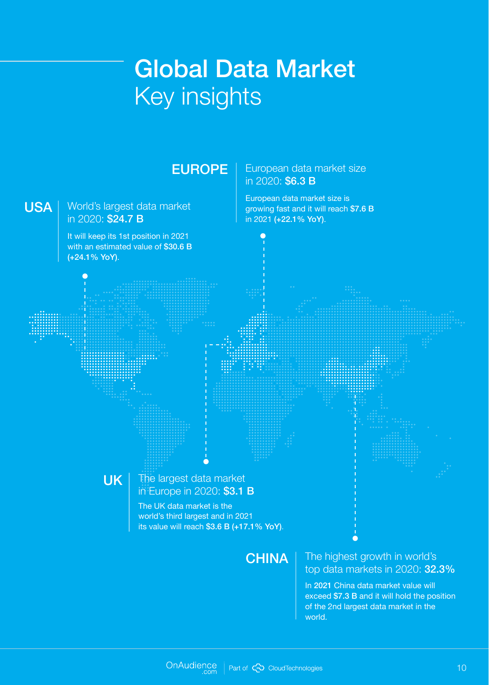## Global Data Market Key insights

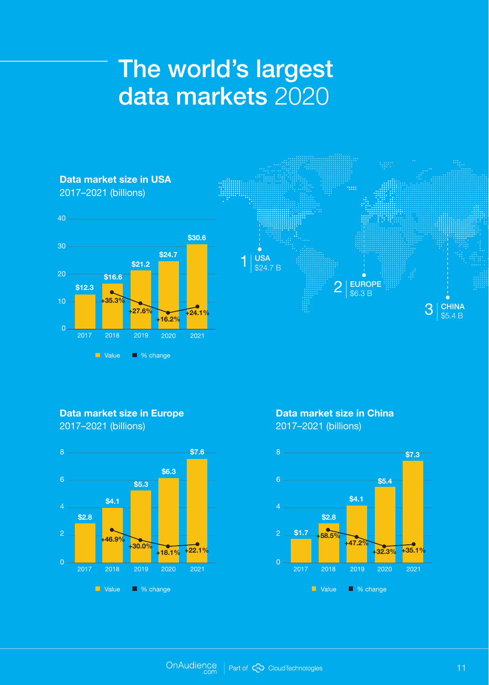## The world's largest data markets 2020



#### **Data market size in Europe**

2017–2021 (billions)



**Data market size in China** 2017–2021 (billions)

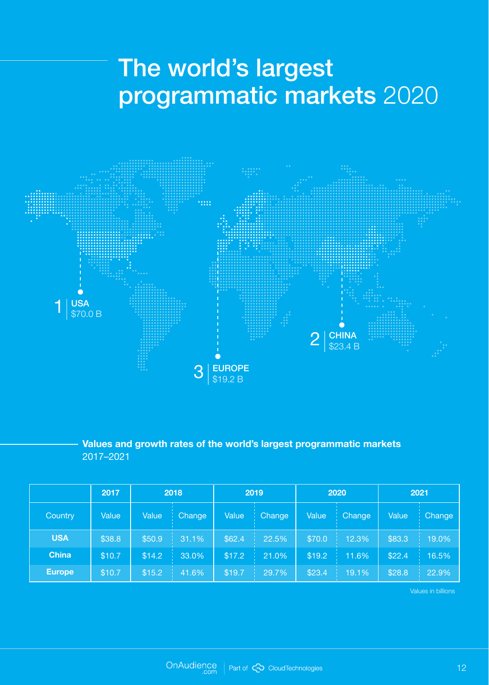## The world's largest programmatic markets 2020



**Values and growth rates of the world's largest programmatic markets**  2017–2021

|               | 2017   | 2018   |               | 2019   |                    | 2020   |               | 2021   |        |
|---------------|--------|--------|---------------|--------|--------------------|--------|---------------|--------|--------|
| Country       | Value  | Value  | <b>Change</b> | Value  | <b>Change</b><br>w | Value  | <b>Change</b> | Value  | Change |
| <b>USA</b>    | \$38.8 | \$50.9 | 31.1%         | \$62.4 | 22.5%              | \$70.0 | 12.3%         | \$83.3 | 19.0%  |
| <b>China</b>  | \$10.7 | \$14.2 | 33.0%         | \$17.2 | 21.0%              | \$19.2 | 11.6%         | \$22.4 | 16.5%  |
| <b>Europe</b> | \$10.7 | \$15.2 | 41.6%         | \$19.7 | 29.7%              | \$23.4 | 19.1%         | \$28.8 | 22.9%  |

Values in billions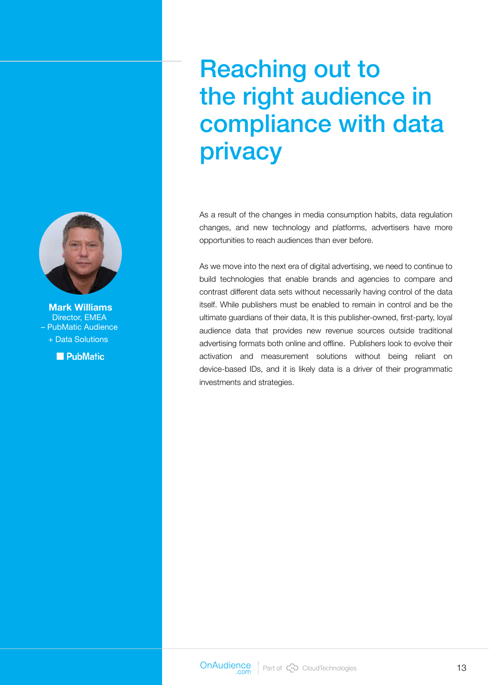## Reaching out to the right audience in compliance with data privacy

As a result of the changes in media consumption habits, data regulation changes, and new technology and platforms, advertisers have more opportunities to reach audiences than ever before.

As we move into the next era of digital advertising, we need to continue to build technologies that enable brands and agencies to compare and contrast different data sets without necessarily having control of the data itself. While publishers must be enabled to remain in control and be the ultimate guardians of their data, It is this publisher-owned, first-party, loyal audience data that provides new revenue sources outside traditional advertising formats both online and offline. Publishers look to evolve their activation and measurement solutions without being reliant on device-based IDs, and it is likely data is a driver of their programmatic investments and strategies.



**Mark Williams** Director, EMEA – PubMatic Audience + Data Solutions

**PubMatic**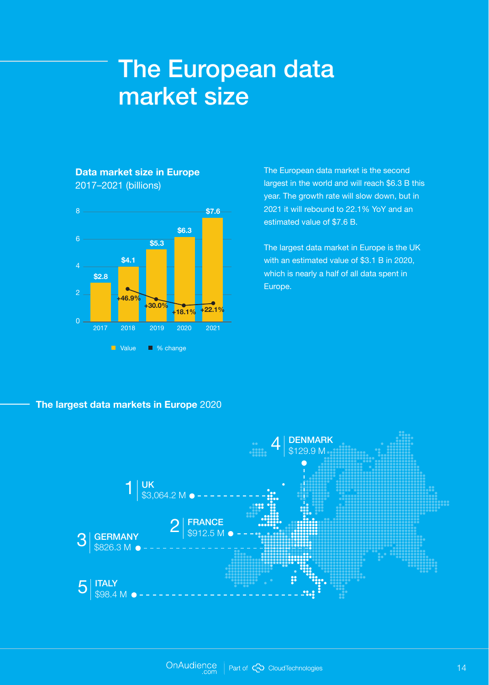## The European data market size

#### **Data market size in Europe** 2017–2021 (billions)



The European data market is the second largest in the world and will reach \$6.3 B this year. The growth rate will slow down, but in 2021 it will rebound to 22.1% YoY and an estimated value of \$7.6 B.

The largest data market in Europe is the UK with an estimated value of \$3.1 B in 2020, which is nearly a half of all data spent in

#### **The largest data markets in Europe** 2020

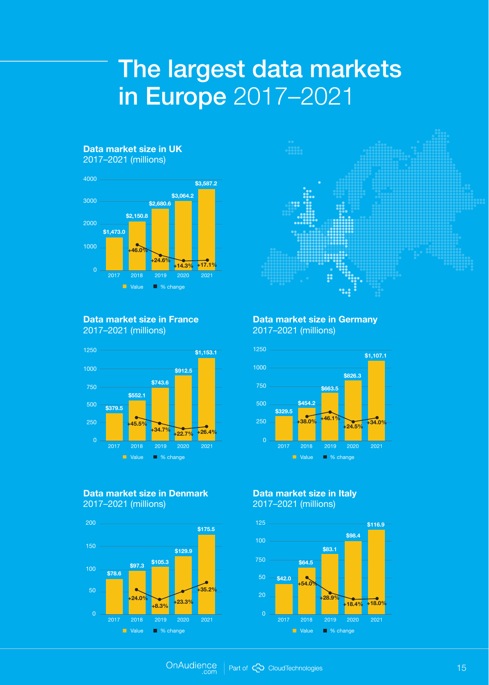## The largest data markets in Europe 2017–2021



#### **Data market size in France** 2017–2021 (millions)



#### **Data market size in Denmark** 2017–2021 (millions)



#### **Data market size in Germany** 2017–2021 (millions)



#### **Data market size in Italy**  2017–2021 (millions)

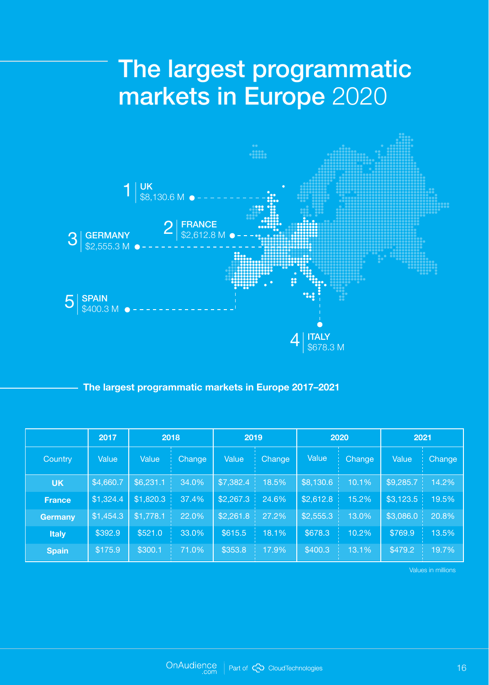## The largest programmatic markets in Europe 2020



#### **The largest programmatic markets in Europe 2017–2021**

|                | 2017      | 2018      |               | 2019      |               | 2020      |                | 2021      |        |
|----------------|-----------|-----------|---------------|-----------|---------------|-----------|----------------|-----------|--------|
| Country        | Value     | Value     | <b>Change</b> | Value     | <b>Change</b> | Value     | Change         | Value     | Change |
| <b>UK</b>      | \$4,660.7 | \$6,231.1 | 34.0%         | \$7,382.4 | 18.5%         | \$8,130.6 | $10.1\%$<br>л, | \$9,285.7 | 14.2%  |
| <b>France</b>  | \$1,324.4 | \$1,820.3 | 37.4%         | \$2,267.3 | 24.6%         | \$2,612.8 | 15.2%          | \$3,123.5 | 19.5%  |
| <b>Germany</b> | \$1,454.3 | \$1,778.1 | 22.0%         | \$2,261.8 | 27.2%         | \$2,555.3 | 13.0%          | \$3,086.0 | 20.8%  |
| <b>Italy</b>   | \$392.9   | \$521.0   | 33.0%         | \$615.5   | 18.1%         | \$678.3   | 10.2%          | \$769.9   | 13.5%  |
| <b>Spain</b>   | \$175.9   | \$300.1   | 71.0%         | \$353.8   | 17.9%         | \$400.3   | 13.1%          | \$479.2   | 19.7%  |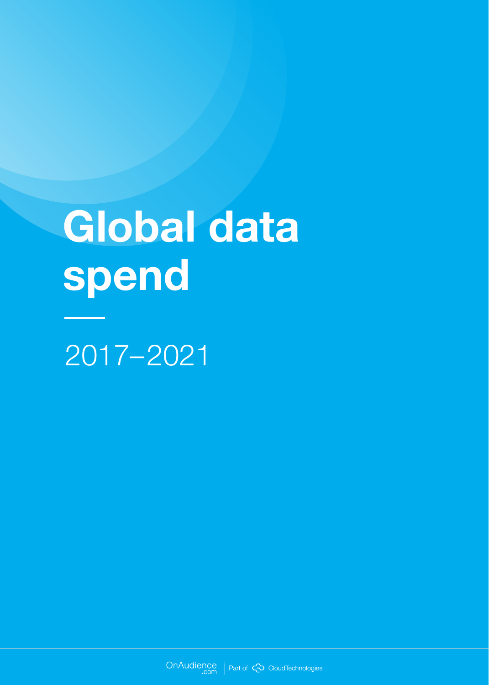# **Global data spend**

2017–2021

OnAudience | Part of <>>
CloudTechnologies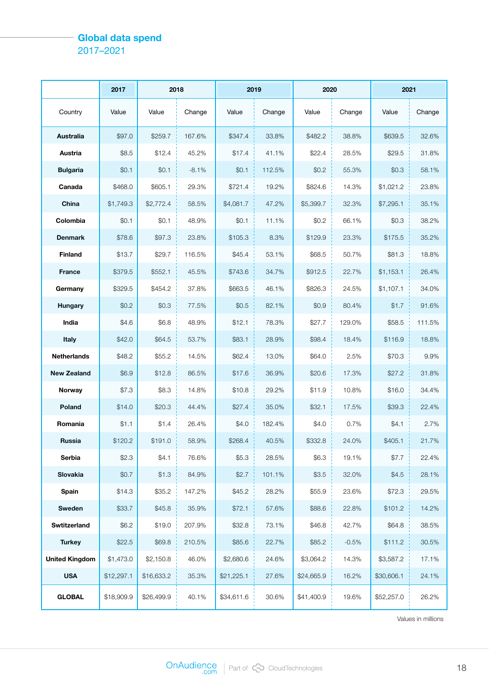#### **Global data spend** 2017–2021

|                       | 2017       | 2018       |         | 2019       |        | 2020       |         | 2021       |        |
|-----------------------|------------|------------|---------|------------|--------|------------|---------|------------|--------|
| Country               | Value      | Value      | Change  | Value      | Change | Value      | Change  | Value      | Change |
| <b>Australia</b>      | \$97.0     | \$259.7    | 167.6%  | \$347.4    | 33.8%  | \$482.2    | 38.8%   | \$639.5    | 32.6%  |
| Austria               | \$8.5      | \$12.4     | 45.2%   | \$17.4     | 41.1%  | \$22.4     | 28.5%   | \$29.5     | 31.8%  |
| <b>Bulgaria</b>       | \$0.1      | \$0.1      | $-8.1%$ | \$0.1      | 112.5% | \$0.2      | 55.3%   | \$0.3      | 58.1%  |
| Canada                | \$468.0    | \$605.1    | 29.3%   | \$721.4    | 19.2%  | \$824.6    | 14.3%   | \$1,021.2  | 23.8%  |
| China                 | \$1,749.3  | \$2,772.4  | 58.5%   | \$4,081.7  | 47.2%  | \$5,399.7  | 32.3%   | \$7,295.1  | 35.1%  |
| Colombia              | \$0.1      | \$0.1      | 48.9%   | \$0.1      | 11.1%  | \$0.2      | 66.1%   | \$0.3      | 38.2%  |
| <b>Denmark</b>        | \$78.6     | \$97.3     | 23.8%   | \$105.3    | 8.3%   | \$129.9    | 23.3%   | \$175.5    | 35.2%  |
| <b>Finland</b>        | \$13.7     | \$29.7     | 116.5%  | \$45.4     | 53.1%  | \$68.5     | 50.7%   | \$81.3     | 18.8%  |
| <b>France</b>         | \$379.5    | \$552.1    | 45.5%   | \$743.6    | 34.7%  | \$912.5    | 22.7%   | \$1,153.1  | 26.4%  |
| Germany               | \$329.5    | \$454.2    | 37.8%   | \$663.5    | 46.1%  | \$826.3    | 24.5%   | \$1,107.1  | 34.0%  |
| <b>Hungary</b>        | \$0.2      | \$0.3      | 77.5%   | \$0.5      | 82.1%  | \$0.9      | 80.4%   | \$1.7      | 91.6%  |
| India                 | \$4.6      | \$6.8      | 48.9%   | \$12.1     | 78.3%  | \$27.7     | 129.0%  | \$58.5     | 111.5% |
| <b>Italy</b>          | \$42.0     | \$64.5     | 53.7%   | \$83.1     | 28.9%  | \$98.4     | 18.4%   | \$116.9    | 18.8%  |
| <b>Netherlands</b>    | \$48.2     | \$55.2     | 14.5%   | \$62.4     | 13.0%  | \$64.0     | 2.5%    | \$70.3     | 9.9%   |
| <b>New Zealand</b>    | \$6.9      | \$12.8     | 86.5%   | \$17.6     | 36.9%  | \$20.6     | 17.3%   | \$27.2     | 31.8%  |
| Norway                | \$7.3      | \$8.3      | 14.8%   | \$10.8     | 29.2%  | \$11.9     | 10.8%   | \$16.0     | 34.4%  |
| Poland                | \$14.0     | \$20.3     | 44.4%   | \$27.4     | 35.0%  | \$32.1     | 17.5%   | \$39.3     | 22.4%  |
| Romania               | \$1.1      | \$1.4      | 26.4%   | \$4.0      | 182.4% | \$4.0      | 0.7%    | \$4.1      | 2.7%   |
| <b>Russia</b>         | \$120.2    | \$191.0    | 58.9%   | \$268.4    | 40.5%  | \$332.8    | 24.0%   | \$405.1    | 21.7%  |
| Serbia                | \$2.3      | \$4.1      | 76.6%   | \$5.3      | 28.5%  | \$6.3      | 19.1%   | \$7.7      | 22.4%  |
| Slovakia              | \$0.7      | \$1.3      | 84.9%   | \$2.7      | 101.1% | \$3.5      | 32.0%   | \$4.5      | 28.1%  |
| Spain                 | \$14.3     | \$35.2     | 147.2%  | \$45.2     | 28.2%  | \$55.9     | 23.6%   | \$72.3     | 29.5%  |
| Sweden                | \$33.7     | \$45.8     | 35.9%   | \$72.1     | 57.6%  | \$88.6     | 22.8%   | \$101.2    | 14.2%  |
| <b>Swtitzerland</b>   | \$6.2      | \$19.0     | 207.9%  | \$32.8     | 73.1%  | \$46.8     | 42.7%   | \$64.8     | 38.5%  |
| <b>Turkey</b>         | \$22.5     | \$69.8     | 210.5%  | \$85.6     | 22.7%  | \$85.2     | $-0.5%$ | \$111.2    | 30.5%  |
| <b>United Kingdom</b> | \$1,473.0  | \$2,150.8  | 46.0%   | \$2,680.6  | 24.6%  | \$3,064.2  | 14.3%   | \$3,587.2  | 17.1%  |
| <b>USA</b>            | \$12,297.1 | \$16,633.2 | 35.3%   | \$21,225.1 | 27.6%  | \$24,665.9 | 16.2%   | \$30,606.1 | 24.1%  |
| <b>GLOBAL</b>         | \$18,909.9 | \$26,499.9 | 40.1%   | \$34,611.6 | 30.6%  | \$41,400.9 | 19.6%   | \$52,257.0 | 26.2%  |

Values in millions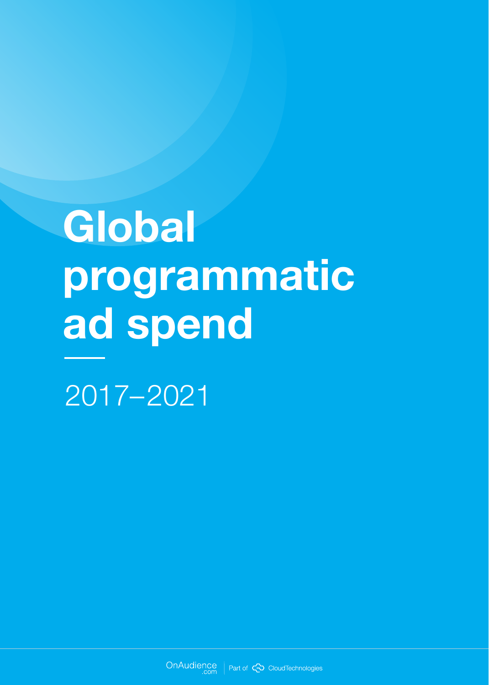# **Global programmatic ad spend**

2017–2021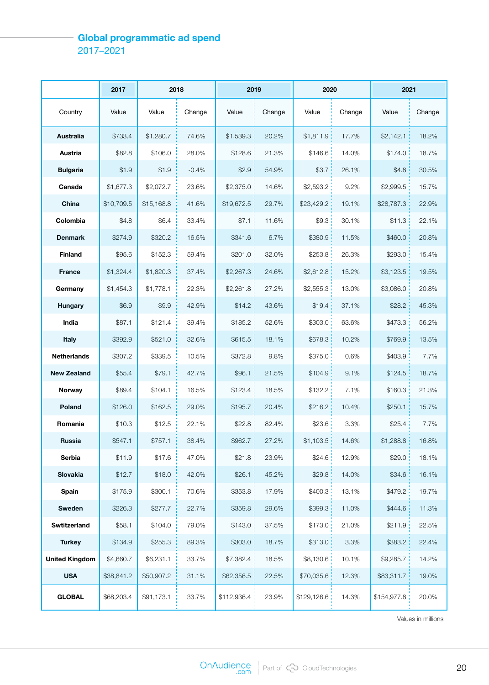#### **Global programmatic ad spend** 2017–2021

|                       | 2017       | 2018       |         | 2019        |        | 2020        |        | 2021        |        |
|-----------------------|------------|------------|---------|-------------|--------|-------------|--------|-------------|--------|
| Country               | Value      | Value      | Change  | Value       | Change | Value       | Change | Value       | Change |
| <b>Australia</b>      | \$733.4    | \$1,280.7  | 74.6%   | \$1,539.3   | 20.2%  | \$1,811.9   | 17.7%  | \$2,142.1   | 18.2%  |
| Austria               | \$82.8     | \$106.0    | 28.0%   | \$128.6     | 21.3%  | \$146.6     | 14.0%  | \$174.0     | 18.7%  |
| <b>Bulgaria</b>       | \$1.9      | \$1.9      | $-0.4%$ | \$2.9       | 54.9%  | \$3.7       | 26.1%  | \$4.8       | 30.5%  |
| Canada                | \$1,677.3  | \$2,072.7  | 23.6%   | \$2,375.0   | 14.6%  | \$2,593.2   | 9.2%   | \$2,999.5   | 15.7%  |
| China                 | \$10,709.5 | \$15,168.8 | 41.6%   | \$19,672.5  | 29.7%  | \$23,429.2  | 19.1%  | \$28,787.3  | 22.9%  |
| Colombia              | \$4.8      | \$6.4      | 33.4%   | \$7.1       | 11.6%  | \$9.3       | 30.1%  | \$11.3      | 22.1%  |
| <b>Denmark</b>        | \$274.9    | \$320.2    | 16.5%   | \$341.6     | 6.7%   | \$380.9     | 11.5%  | \$460.0     | 20.8%  |
| <b>Finland</b>        | \$95.6     | \$152.3    | 59.4%   | \$201.0     | 32.0%  | \$253.8     | 26.3%  | \$293.0     | 15.4%  |
| <b>France</b>         | \$1,324.4  | \$1,820.3  | 37.4%   | \$2,267.3   | 24.6%  | \$2,612.8   | 15.2%  | \$3,123.5   | 19.5%  |
| Germany               | \$1,454.3  | \$1,778.1  | 22.3%   | \$2,261.8   | 27.2%  | \$2,555.3   | 13.0%  | \$3,086.0   | 20.8%  |
| Hungary               | \$6.9      | \$9.9      | 42.9%   | \$14.2      | 43.6%  | \$19.4      | 37.1%  | \$28.2      | 45.3%  |
| India                 | \$87.1     | \$121.4    | 39.4%   | \$185.2     | 52.6%  | \$303.0     | 63.6%  | \$473.3     | 56.2%  |
| Italy                 | \$392.9    | \$521.0    | 32.6%   | \$615.5     | 18.1%  | \$678.3     | 10.2%  | \$769.9     | 13.5%  |
| <b>Netherlands</b>    | \$307.2    | \$339.5    | 10.5%   | \$372.8     | 9.8%   | \$375.0     | 0.6%   | \$403.9     | 7.7%   |
| New Zealand           | \$55.4     | \$79.1     | 42.7%   | \$96.1      | 21.5%  | \$104.9     | 9.1%   | \$124.5     | 18.7%  |
| Norway                | \$89.4     | \$104.1    | 16.5%   | \$123.4     | 18.5%  | \$132.2     | 7.1%   | \$160.3     | 21.3%  |
| Poland                | \$126.0    | \$162.5    | 29.0%   | \$195.7     | 20.4%  | \$216.2     | 10.4%  | \$250.1     | 15.7%  |
| Romania               | \$10.3     | \$12.5     | 22.1%   | \$22.8      | 82.4%  | \$23.6      | 3.3%   | \$25.4      | 7.7%   |
| <b>Russia</b>         | \$547.1    | \$757.1    | 38.4%   | \$962.7     | 27.2%  | \$1,103.5   | 14.6%  | \$1,288.8   | 16.8%  |
| Serbia                | \$11.9     | \$17.6     | 47.0%   | \$21.8      | 23.9%  | \$24.6      | 12.9%  | \$29.0      | 18.1%  |
| Slovakia              | \$12.7     | \$18.0     | 42.0%   | \$26.1      | 45.2%  | \$29.8      | 14.0%  | \$34.6      | 16.1%  |
| <b>Spain</b>          | \$175.9    | \$300.1    | 70.6%   | \$353.8     | 17.9%  | \$400.3     | 13.1%  | \$479.2     | 19.7%  |
| Sweden                | \$226.3    | \$277.7    | 22.7%   | \$359.8     | 29.6%  | \$399.3     | 11.0%  | \$444.6     | 11.3%  |
| Swtitzerland          | \$58.1     | \$104.0    | 79.0%   | \$143.0     | 37.5%  | \$173.0     | 21.0%  | \$211.9     | 22.5%  |
| <b>Turkey</b>         | \$134.9    | \$255.3    | 89.3%   | \$303.0     | 18.7%  | \$313.0     | 3.3%   | \$383.2     | 22.4%  |
| <b>United Kingdom</b> | \$4,660.7  | \$6,231.1  | 33.7%   | \$7,382.4   | 18.5%  | \$8,130.6   | 10.1%  | \$9,285.7   | 14.2%  |
| <b>USA</b>            | \$38,841.2 | \$50,907.2 | 31.1%   | \$62,356.5  | 22.5%  | \$70,035.6  | 12.3%  | \$83,311.7  | 19.0%  |
| <b>GLOBAL</b>         | \$68,203.4 | \$91,173.1 | 33.7%   | \$112,936.4 | 23.9%  | \$129,126.6 | 14.3%  | \$154,977.8 | 20.0%  |

Values in millions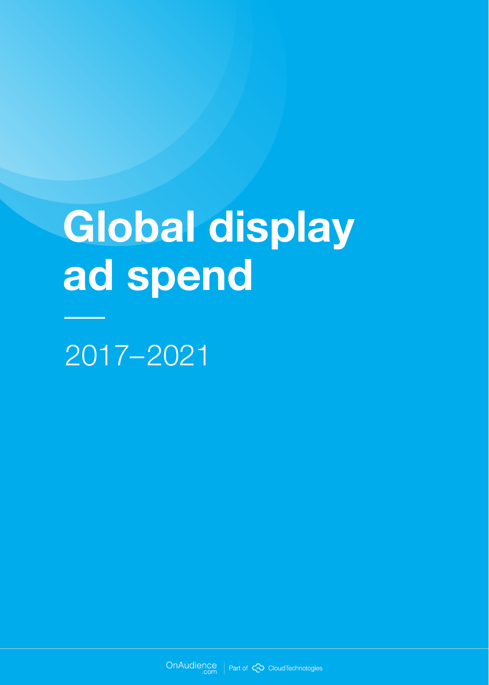# **Global display ad spend**

2017–2021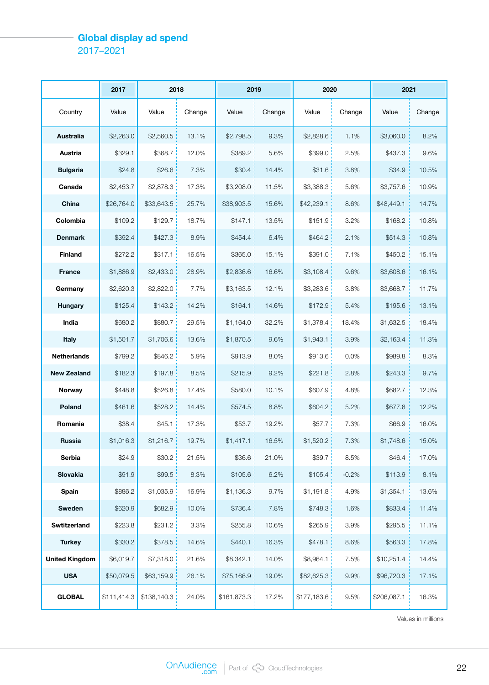#### **Global display ad spend** 2017–2021

|                       | 2017        | 2018        |        |             | 2019   |             | 2020    |             | 2021   |  |
|-----------------------|-------------|-------------|--------|-------------|--------|-------------|---------|-------------|--------|--|
| Country               | Value       | Value       | Change | Value       | Change | Value       | Change  | Value       | Change |  |
| <b>Australia</b>      | \$2,263.0   | \$2,560.5   | 13.1%  | \$2,798.5   | 9.3%   | \$2,828.6   | 1.1%    | \$3,060.0   | 8.2%   |  |
| Austria               | \$329.1     | \$368.7     | 12.0%  | \$389.2     | 5.6%   | \$399.0     | 2.5%    | \$437.3     | 9.6%   |  |
| <b>Bulgaria</b>       | \$24.8      | \$26.6      | 7.3%   | \$30.4      | 14.4%  | \$31.6      | 3.8%    | \$34.9      | 10.5%  |  |
| Canada                | \$2,453.7   | \$2,878.3   | 17.3%  | \$3,208.0   | 11.5%  | \$3,388.3   | 5.6%    | \$3,757.6   | 10.9%  |  |
| China                 | \$26,764.0  | \$33,643.5  | 25.7%  | \$38,903.5  | 15.6%  | \$42,239.1  | 8.6%    | \$48,449.1  | 14.7%  |  |
| Colombia              | \$109.2     | \$129.7     | 18.7%  | \$147.1     | 13.5%  | \$151.9     | 3.2%    | \$168.2     | 10.8%  |  |
| <b>Denmark</b>        | \$392.4     | \$427.3     | 8.9%   | \$454.4     | 6.4%   | \$464.2     | 2.1%    | \$514.3     | 10.8%  |  |
| <b>Finland</b>        | \$272.2     | \$317.1     | 16.5%  | \$365.0     | 15.1%  | \$391.0     | 7.1%    | \$450.2     | 15.1%  |  |
| <b>France</b>         | \$1,886.9   | \$2,433.0   | 28.9%  | \$2,836.6   | 16.6%  | \$3,108.4   | 9.6%    | \$3,608.6   | 16.1%  |  |
| Germany               | \$2,620.3   | \$2,822.0   | 7.7%   | \$3,163.5   | 12.1%  | \$3,283.6   | 3.8%    | \$3,668.7   | 11.7%  |  |
| Hungary               | \$125.4     | \$143.2     | 14.2%  | \$164.1     | 14.6%  | \$172.9     | 5.4%    | \$195.6     | 13.1%  |  |
| India                 | \$680.2     | \$880.7     | 29.5%  | \$1,164.0   | 32.2%  | \$1,378.4   | 18.4%   | \$1,632.5   | 18.4%  |  |
| <b>Italy</b>          | \$1,501.7   | \$1,706.6   | 13.6%  | \$1,870.5   | 9.6%   | \$1,943.1   | 3.9%    | \$2,163.4   | 11.3%  |  |
| <b>Netherlands</b>    | \$799.2     | \$846.2     | 5.9%   | \$913.9     | 8.0%   | \$913.6     | 0.0%    | \$989.8     | 8.3%   |  |
| <b>New Zealand</b>    | \$182.3     | \$197.8     | 8.5%   | \$215.9     | 9.2%   | \$221.8     | 2.8%    | \$243.3     | 9.7%   |  |
| Norway                | \$448.8     | \$526.8     | 17.4%  | \$580.0     | 10.1%  | \$607.9     | 4.8%    | \$682.7     | 12.3%  |  |
| Poland                | \$461.6     | \$528.2     | 14.4%  | \$574.5     | 8.8%   | \$604.2     | 5.2%    | \$677.8     | 12.2%  |  |
| Romania               | \$38.4      | \$45.1      | 17.3%  | \$53.7      | 19.2%  | \$57.7      | 7.3%    | \$66.9      | 16.0%  |  |
| Russia                | \$1,016.3   | \$1,216.7   | 19.7%  | \$1,417.1   | 16.5%  | \$1,520.2   | 7.3%    | \$1,748.6   | 15.0%  |  |
| Serbia                | \$24.9      | \$30.2      | 21.5%  | \$36.6      | 21.0%  | \$39.7      | 8.5%    | \$46.4      | 17.0%  |  |
| Slovakia              | \$91.9      | \$99.5      | 8.3%   | \$105.6     | 6.2%   | \$105.4     | $-0.2%$ | \$113.9     | 8.1%   |  |
| Spain                 | \$886.2     | \$1,035.9   | 16.9%  | \$1,136.3   | 9.7%   | \$1,191.8   | 4.9%    | \$1,354.1   | 13.6%  |  |
| Sweden                | \$620.9     | \$682.9     | 10.0%  | \$736.4     | 7.8%   | \$748.3     | 1.6%    | \$833.4     | 11.4%  |  |
| Swtitzerland          | \$223.8     | \$231.2     | 3.3%   | \$255.8     | 10.6%  | \$265.9     | 3.9%    | \$295.5     | 11.1%  |  |
| <b>Turkey</b>         | \$330.2     | \$378.5     | 14.6%  | \$440.1     | 16.3%  | \$478.1     | 8.6%    | \$563.3     | 17.8%  |  |
| <b>United Kingdom</b> | \$6,019.7   | \$7,318.0   | 21.6%  | \$8,342.1   | 14.0%  | \$8,964.1   | 7.5%    | \$10,251.4  | 14.4%  |  |
| <b>USA</b>            | \$50,079.5  | \$63,159.9  | 26.1%  | \$75,166.9  | 19.0%  | \$82,625.3  | 9.9%    | \$96,720.3  | 17.1%  |  |
| <b>GLOBAL</b>         | \$111,414.3 | \$138,140.3 | 24.0%  | \$161,873.3 | 17.2%  | \$177,183.6 | 9.5%    | \$206,087.1 | 16.3%  |  |

Values in millions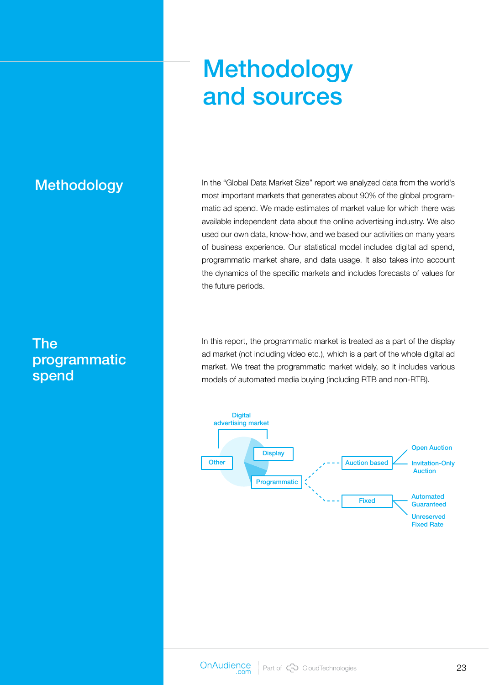## **Methodology** and sources

### Methodology

The programmatic spend

In the "Global Data Market Size" report we analyzed data from the world's most important markets that generates about 90% of the global programmatic ad spend. We made estimates of market value for which there was available independent data about the online advertising industry. We also used our own data, know-how, and we based our activities on many years of business experience. Our statistical model includes digital ad spend, programmatic market share, and data usage. It also takes into account the dynamics of the specific markets and includes forecasts of values for the future periods.

In this report, the programmatic market is treated as a part of the display ad market (not including video etc.), which is a part of the whole digital ad market. We treat the programmatic market widely, so it includes various models of automated media buying (including RTB and non-RTB).

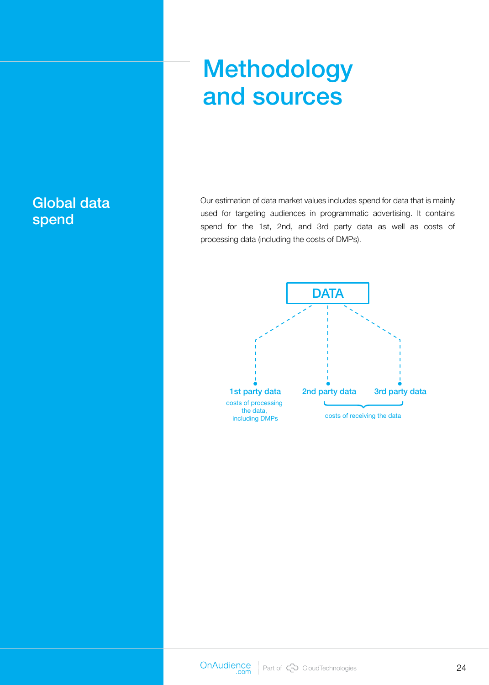## Methodology and sources

Our estimation of data market values includes spend for data that is mainly used for targeting audiences in programmatic advertising. It contains spend for the 1st, 2nd, and 3rd party data as well as costs of processing data (including the costs of DMPs).



### Global data spend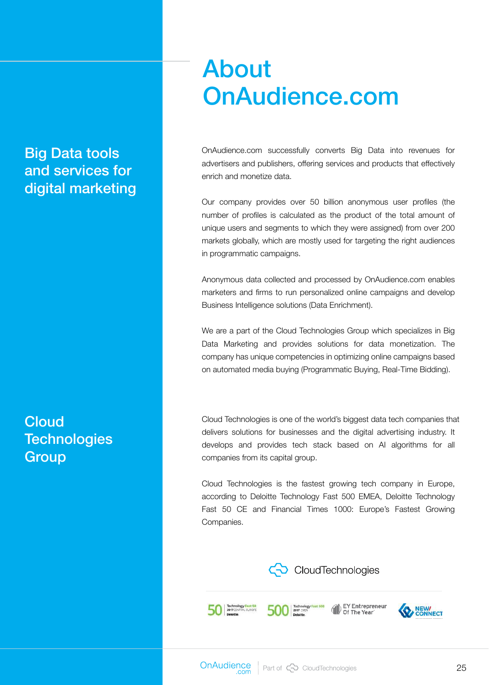## About OnAudience.com

Big Data tools and services for digital marketing

OnAudience.com successfully converts Big Data into revenues for advertisers and publishers, offering services and products that effectively enrich and monetize data.

Our company provides over 50 billion anonymous user profiles (the number of profiles is calculated as the product of the total amount of unique users and segments to which they were assigned) from over 200 markets globally, which are mostly used for targeting the right audiences in programmatic campaigns.

Anonymous data collected and processed by OnAudience.com enables marketers and firms to run personalized online campaigns and develop Business Intelligence solutions (Data Enrichment).

We are a part of the Cloud Technologies Group which specializes in Big Data Marketing and provides solutions for data monetization. The company has unique competencies in optimizing online campaigns based on automated media buying (Programmatic Buying, Real-Time Bidding).

Cloud Technologies is one of the world's biggest data tech companies that delivers solutions for businesses and the digital advertising industry. It develops and provides tech stack based on AI algorithms for all companies from its capital group.

Cloud Technologies is the fastest growing tech company in Europe, according to Deloitte Technology Fast 500 EMEA, Deloitte Technology Fast 50 CE and Financial Times 1000: Europe's Fastest Growing Companies.



EY Entrepreneur<br>Of The Year

**Cloud Technologies Group** 

500 2017 EMEA

**50 ZO17 CENTRAL EUROPE** 

**Q** NEW CONNECT